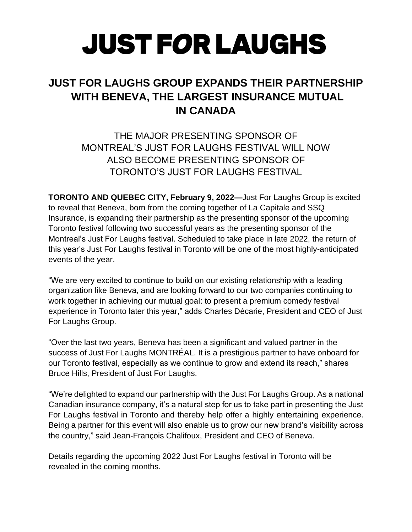## **JUST FOR LAUGHS**

### **JUST FOR LAUGHS GROUP EXPANDS THEIR PARTNERSHIP WITH BENEVA, THE LARGEST INSURANCE MUTUAL IN CANADA**

THE MAJOR PRESENTING SPONSOR OF MONTREAL'S JUST FOR LAUGHS FESTIVAL WILL NOW ALSO BECOME PRESENTING SPONSOR OF TORONTO'S JUST FOR LAUGHS FESTIVAL

**TORONTO AND QUEBEC CITY, February 9, 2022—**Just For Laughs Group is excited to reveal that Beneva, born from the coming together of La Capitale and SSQ Insurance, is expanding their partnership as the presenting sponsor of the upcoming Toronto festival following two successful years as the presenting sponsor of the Montreal's Just For Laughs festival. Scheduled to take place in late 2022, the return of this year's Just For Laughs festival in Toronto will be one of the most highly-anticipated events of the year.

"We are very excited to continue to build on our existing relationship with a leading organization like Beneva, and are looking forward to our two companies continuing to work together in achieving our mutual goal: to present a premium comedy festival experience in Toronto later this year," adds Charles Décarie, President and CEO of Just For Laughs Group.

"Over the last two years, Beneva has been a significant and valued partner in the success of Just For Laughs MONTRÉAL. It is a prestigious partner to have onboard for our Toronto festival, especially as we continue to grow and extend its reach," shares Bruce Hills, President of Just For Laughs.

"We're delighted to expand our partnership with the Just For Laughs Group. As a national Canadian insurance company, it's a natural step for us to take part in presenting the Just For Laughs festival in Toronto and thereby help offer a highly entertaining experience. Being a partner for this event will also enable us to grow our new brand's visibility across the country," said Jean-François Chalifoux, President and CEO of Beneva.

Details regarding the upcoming 2022 Just For Laughs festival in Toronto will be revealed in the coming months.